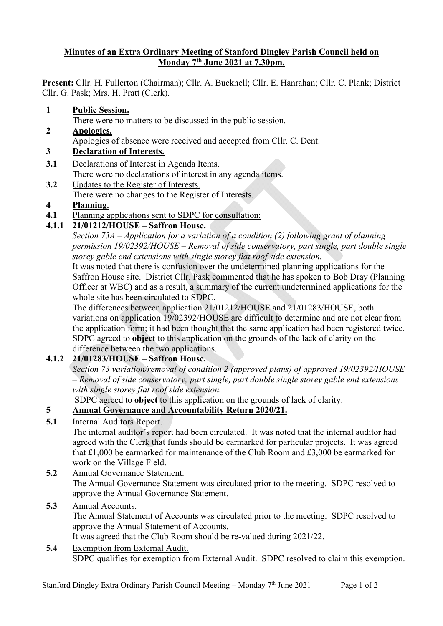#### **Minutes of an Extra Ordinary Meeting of Stanford Dingley Parish Council held on Monday 7th June 2021 at 7.30pm.**

**Present:** Cllr. H. Fullerton (Chairman); Cllr. A. Bucknell; Cllr. E. Hanrahan; Cllr. C. Plank; District Cllr. G. Pask; Mrs. H. Pratt (Clerk).

**1 Public Session.**

There were no matters to be discussed in the public session.

- **2 Apologies.**
- Apologies of absence were received and accepted from Cllr. C. Dent.

### **3 Declaration of Interests.**

- **3.1** Declarations of Interest in Agenda Items. There were no declarations of interest in any agenda items.
- **3.2** Updates to the Register of Interests.
- There were no changes to the Register of Interests.

#### **4 Planning.**

**4.1** Planning applications sent to SDPC for consultation:

# **4.1.1 21/01212/HOUSE – Saffron House.**

*Section 73A – Application for a variation of a condition (2) following grant of planning permission 19/02392/HOUSE – Removal of side conservatory, part single, part double single storey gable end extensions with single storey flat roof side extension.*

It was noted that there is confusion over the undetermined planning applications for the Saffron House site. District Cllr. Pask commented that he has spoken to Bob Dray (Planning Officer at WBC) and as a result, a summary of the current undetermined applications for the whole site has been circulated to SDPC.

The differences between application 21/01212/HOUSE and 21/01283/HOUSE, both variations on application 19/02392/HOUSE are difficult to determine and are not clear from the application form; it had been thought that the same application had been registered twice. SDPC agreed to **object** to this application on the grounds of the lack of clarity on the difference between the two applications.

# **4.1.2 21/01283/HOUSE – Saffron House.**

*Section 73 variation/removal of condition 2 (approved plans) of approved 19/02392/HOUSE – Removal of side conservatory; part single, part double single storey gable end extensions with single storey flat roof side extension.*

SDPC agreed to **object** to this application on the grounds of lack of clarity.

### **5 Annual Governance and Accountability Return 2020/21.**

### **5.1** Internal Auditors Report.

The internal auditor's report had been circulated. It was noted that the internal auditor had agreed with the Clerk that funds should be earmarked for particular projects. It was agreed that £1,000 be earmarked for maintenance of the Club Room and £3,000 be earmarked for work on the Village Field.

**5.2** Annual Governance Statement. The Annual Governance Statement was circulated prior to the meeting. SDPC resolved to approve the Annual Governance Statement.

### **5.3** Annual Accounts.

The Annual Statement of Accounts was circulated prior to the meeting. SDPC resolved to approve the Annual Statement of Accounts.

It was agreed that the Club Room should be re-valued during 2021/22.

#### **5.4** Exemption from External Audit.

SDPC qualifies for exemption from External Audit. SDPC resolved to claim this exemption.